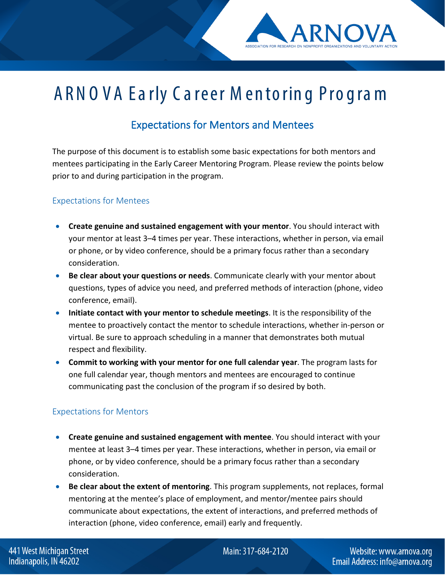## ARNO VA Ea rly C a reer M en to rin g Pro g ra m

## Expectations for Mentors and Mentees

The purpose of this document is to establish some basic expectations for both mentors and mentees participating in the Early Career Mentoring Program. Please review the points below prior to and during participation in the program.

## Expectations for Mentees

- **Create genuine and sustained engagement with your mentor**. You should interact with your mentor at least 3–4 times per year. These interactions, whether in person, via email or phone, or by video conference, should be a primary focus rather than a secondary consideration.
- **Be clear about your questions or needs**. Communicate clearly with your mentor about questions, types of advice you need, and preferred methods of interaction (phone, video conference, email).
- **Initiate contact with your mentor to schedule meetings**. It is the responsibility of the mentee to proactively contact the mentor to schedule interactions, whether in-person or virtual. Be sure to approach scheduling in a manner that demonstrates both mutual respect and flexibility.
- **Commit to working with your mentor for one full calendar year**. The program lasts for one full calendar year, though mentors and mentees are encouraged to continue communicating past the conclusion of the program if so desired by both.

## Expectations for Mentors

- **Create genuine and sustained engagement with mentee**. You should interact with your mentee at least 3–4 times per year. These interactions, whether in person, via email or phone, or by video conference, should be a primary focus rather than a secondary consideration.
- **Be clear about the extent of mentoring**. This program supplements, not replaces, formal mentoring at the mentee's place of employment, and mentor/mentee pairs should communicate about expectations, the extent of interactions, and preferred methods of interaction (phone, video conference, email) early and frequently.